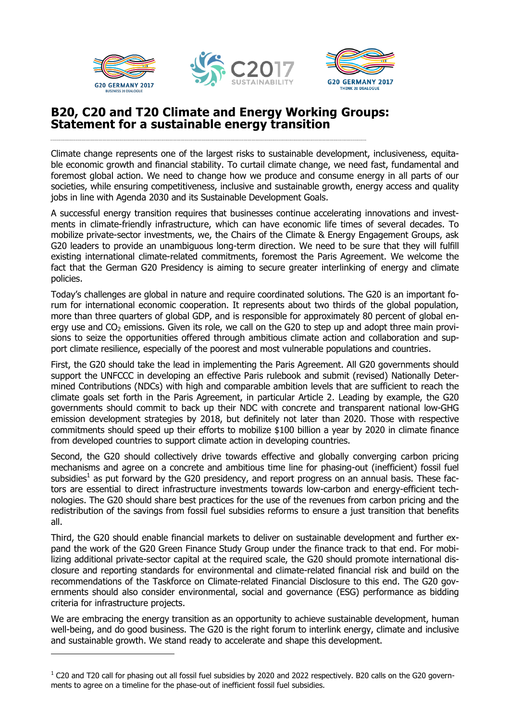

 $\overline{a}$ 





### **B20, C20 and T20 Climate and Energy Working Groups: Statement for a sustainable energy transition**

Climate change represents one of the largest risks to sustainable development, inclusiveness, equitable economic growth and financial stability. To curtail climate change, we need fast, fundamental and foremost global action. We need to change how we produce and consume energy in all parts of our societies, while ensuring competitiveness, inclusive and sustainable growth, energy access and quality jobs in line with Agenda 2030 and its Sustainable Development Goals.

A successful energy transition requires that businesses continue accelerating innovations and investments in climate-friendly infrastructure, which can have economic life times of several decades. To mobilize private-sector investments, we, the Chairs of the Climate & Energy Engagement Groups, ask G20 leaders to provide an unambiguous long-term direction. We need to be sure that they will fulfill existing international climate-related commitments, foremost the Paris Agreement. We welcome the fact that the German G20 Presidency is aiming to secure greater interlinking of energy and climate policies.

Today's challenges are global in nature and require coordinated solutions. The G20 is an important forum for international economic cooperation. It represents about two thirds of the global population, more than three quarters of global GDP, and is responsible for approximately 80 percent of global energy use and CO<sub>2</sub> emissions. Given its role, we call on the G20 to step up and adopt three main provisions to seize the opportunities offered through ambitious climate action and collaboration and support climate resilience, especially of the poorest and most vulnerable populations and countries.

First, the G20 should take the lead in implementing the Paris Agreement. All G20 governments should support the UNFCCC in developing an effective Paris rulebook and submit (revised) Nationally Determined Contributions (NDCs) with high and comparable ambition levels that are sufficient to reach the climate goals set forth in the Paris Agreement, in particular Article 2. Leading by example, the G20 governments should commit to back up their NDC with concrete and transparent national low-GHG emission development strategies by 2018, but definitely not later than 2020. Those with respective commitments should speed up their efforts to mobilize \$100 billion a year by 2020 in climate finance from developed countries to support climate action in developing countries.

Second, the G20 should collectively drive towards effective and globally converging carbon pricing mechanisms and agree on a concrete and ambitious time line for phasing-out (inefficient) fossil fuel subsidies<sup>1</sup> as put forward by the G20 presidency, and report progress on an annual basis. These factors are essential to direct infrastructure investments towards low-carbon and energy-efficient technologies. The G20 should share best practices for the use of the revenues from carbon pricing and the redistribution of the savings from fossil fuel subsidies reforms to ensure a just transition that benefits all.

Third, the G20 should enable financial markets to deliver on sustainable development and further expand the work of the G20 Green Finance Study Group under the finance track to that end. For mobilizing additional private-sector capital at the required scale, the G20 should promote international disclosure and reporting standards for environmental and climate-related financial risk and build on the recommendations of the Taskforce on Climate-related Financial Disclosure to this end. The G20 governments should also consider environmental, social and governance (ESG) performance as bidding criteria for infrastructure projects.

We are embracing the energy transition as an opportunity to achieve sustainable development, human well-being, and do good business. The G20 is the right forum to interlink energy, climate and inclusive and sustainable growth. We stand ready to accelerate and shape this development.

 $1$  C20 and T20 call for phasing out all fossil fuel subsidies by 2020 and 2022 respectively. B20 calls on the G20 governments to agree on a timeline for the phase-out of inefficient fossil fuel subsidies.